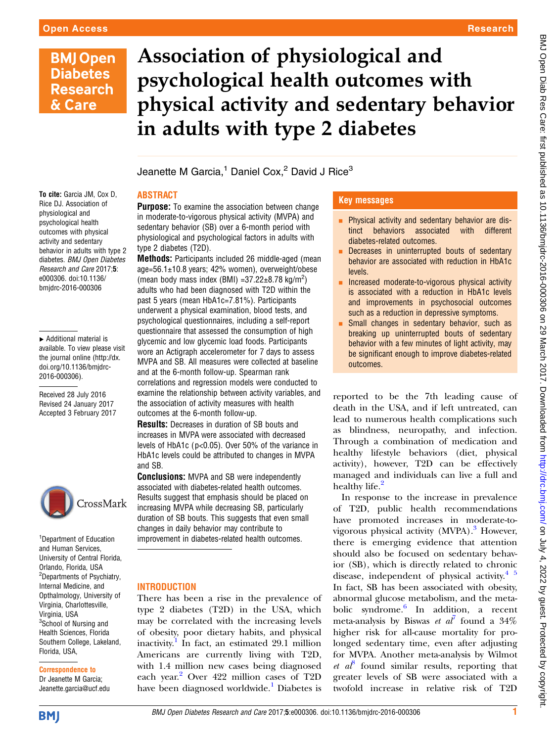# **BMJ Open Diabetes Research** & Care

# Association of physiological and psychological health outcomes with physical activity and sedentary behavior in adults with type 2 diabetes

Jeanette M Garcia,<sup>1</sup> Daniel Cox,<sup>2</sup> David J Rice<sup>3</sup>

# ABSTRACT

To cite: Garcia JM, Cox D, Rice DJ. Association of physiological and psychological health outcomes with physical activity and sedentary behavior in adults with type 2 diabetes. BMJ Open Diabetes Research and Care 2017;5: e000306. doi:10.1136/ bmjdrc-2016-000306

▸ Additional material is available. To view please visit the journal online ([http://dx.](http://dx.doi.org/10.1136/bmjdrc-2016-000306) [doi.org/10.1136/bmjdrc-](http://dx.doi.org/10.1136/bmjdrc-2016-000306)[2016-000306](http://dx.doi.org/10.1136/bmjdrc-2016-000306)).

Received 28 July 2016 Revised 24 January 2017 Accepted 3 February 2017



<sup>1</sup> Department of Education and Human Services, University of Central Florida, Orlando, Florida, USA <sup>2</sup>Departments of Psychiatry, Internal Medicine, and Opthalmology, University of Virginia, Charlottesville, Virginia, USA <sup>3</sup>School of Nursing and Health Sciences, Florida Southern College, Lakeland, Florida, USA,

# Correspondence to

Dr Jeanette M Garcia; Jeanette.garcia@ucf.edu

**Purpose:** To examine the association between change in moderate-to-vigorous physical activity (MVPA) and sedentary behavior (SB) over a 6-month period with physiological and psychological factors in adults with type 2 diabetes (T2D).

Methods: Participants included 26 middle-aged (mean age=56.1±10.8 years; 42% women), overweight/obese (mean body mass index (BMI) =  $37.22 \pm 8.78$  kg/m<sup>2</sup>) adults who had been diagnosed with T2D within the past 5 years (mean HbA1c=7.81%). Participants underwent a physical examination, blood tests, and psychological questionnaires, including a self-report questionnaire that assessed the consumption of high glycemic and low glycemic load foods. Participants wore an Actigraph accelerometer for 7 days to assess MVPA and SB. All measures were collected at baseline and at the 6-month follow-up. Spearman rank correlations and regression models were conducted to examine the relationship between activity variables, and the association of activity measures with health outcomes at the 6-month follow-up.

Results: Decreases in duration of SB bouts and increases in MVPA were associated with decreased levels of HbA1c ( p<0.05). Over 50% of the variance in HbA1c levels could be attributed to changes in MVPA and SB.

**Conclusions:** MVPA and SB were independently associated with diabetes-related health outcomes. Results suggest that emphasis should be placed on increasing MVPA while decreasing SB, particularly duration of SB bouts. This suggests that even small changes in daily behavior may contribute to improvement in diabetes-related health outcomes.

# **INTRODUCTION**

There has been a rise in the prevalence of type 2 diabetes (T2D) in the USA, which may be correlated with the increasing levels of obesity, poor dietary habits, and physical inactivity.<sup>[1](#page-5-0)</sup> In fact, an estimated 29.1 million Americans are currently living with T2D, with 1.4 million new cases being diagnosed each year.<sup>[2](#page-5-0)</sup> Over 422 million cases of T2D have been diagnosed worldwide.<sup>[1](#page-5-0)</sup> Diabetes is

# Key messages

- **Physical activity and sedentary behavior are dis-**<br>tinct behaviors associated with different tinct behaviors associated diabetes-related outcomes.
- Decreases in uninterrupted bouts of sedentary behavior are associated with reduction in HbA1c levels.
- Increased moderate-to-vigorous physical activity is associated with a reduction in HbA1c levels and improvements in psychosocial outcomes such as a reduction in depressive symptoms.
- Small changes in sedentary behavior, such as breaking up uninterrupted bouts of sedentary behavior with a few minutes of light activity, may be significant enough to improve diabetes-related outcomes.

reported to be the 7th leading cause of death in the USA, and if left untreated, can lead to numerous health complications such as blindness, neuropathy, and infection. Through a combination of medication and healthy lifestyle behaviors (diet, physical activity), however, T2D can be effectively managed and individuals can live a full and healthy life.<sup>[2](#page-5-0)</sup>

In response to the increase in prevalence of T2D, public health recommendations have promoted increases in moderate-tovigorous physical activity  $(MVPA)$ .<sup>3</sup> However, there is emerging evidence that attention should also be focused on sedentary behavior (SB), which is directly related to chronic disease, independent of physical activity. $4\frac{5}{7}$ In fact, SB has been associated with obesity, abnormal glucose metabolism, and the metabolic syndrome. $\frac{6}{5}$  $\frac{6}{5}$  $\frac{6}{5}$  In addition, a recent meta-analysis by Biswas *et al*<sup>[7](#page-5-0)</sup> found a 34% higher risk for all-cause mortality for prolonged sedentary time, even after adjusting for MVPA. Another meta-analysis by Wilmot et  $a^{\beta}$  found similar results, reporting that greater levels of SB were associated with a twofold increase in relative risk of T2D

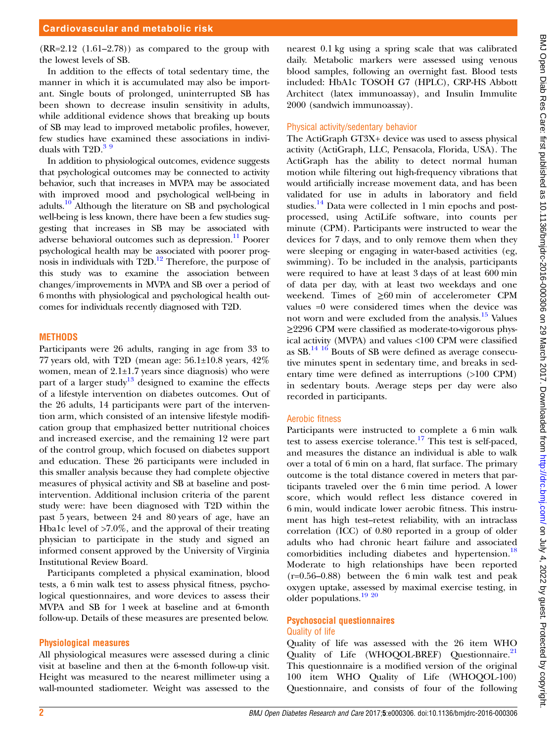# Cardiovascular and metabolic risk

 $(RR=2.12 \text{ } (1.61-2.78))$  as compared to the group with the lowest levels of SB.

In addition to the effects of total sedentary time, the manner in which it is accumulated may also be important. Single bouts of prolonged, uninterrupted SB has been shown to decrease insulin sensitivity in adults, while additional evidence shows that breaking up bouts of SB may lead to improved metabolic profiles, however, few studies have examined these associations in individuals with  $T2D<sup>39</sup>$ 

In addition to physiological outcomes, evidence suggests that psychological outcomes may be connected to activity behavior, such that increases in MVPA may be associated with improved mood and psychological well-being in adults[.10](#page-5-0) Although the literature on SB and psychological well-being is less known, there have been a few studies suggesting that increases in SB may be associated with adverse behavioral outcomes such as depression.<sup>11</sup> Poorer psychological health may be associated with poorer prognosis in individuals with  $T2D<sup>12</sup>$  Therefore, the purpose of this study was to examine the association between changes/improvements in MVPA and SB over a period of 6 months with physiological and psychological health outcomes for individuals recently diagnosed with T2D.

#### **METHODS**

Participants were 26 adults, ranging in age from 33 to 77 years old, with T2D (mean age:  $56.1\pm10.8$  years,  $42\%$ women, mean of 2.1±1.7 years since diagnosis) who were part of a larger study<sup>[13](#page-5-0)</sup> designed to examine the effects of a lifestyle intervention on diabetes outcomes. Out of the 26 adults, 14 participants were part of the intervention arm, which consisted of an intensive lifestyle modification group that emphasized better nutritional choices and increased exercise, and the remaining 12 were part of the control group, which focused on diabetes support and education. These 26 participants were included in this smaller analysis because they had complete objective measures of physical activity and SB at baseline and postintervention. Additional inclusion criteria of the parent study were: have been diagnosed with T2D within the past 5 years, between 24 and 80 years of age, have an Hba1c level of  $>7.0\%$ , and the approval of their treating physician to participate in the study and signed an informed consent approved by the University of Virginia Institutional Review Board.

Participants completed a physical examination, blood tests, a 6 min walk test to assess physical fitness, psychological questionnaires, and wore devices to assess their MVPA and SB for 1 week at baseline and at 6-month follow-up. Details of these measures are presented below.

#### Physiological measures

All physiological measures were assessed during a clinic visit at baseline and then at the 6-month follow-up visit. Height was measured to the nearest millimeter using a wall-mounted stadiometer. Weight was assessed to the

nearest 0.1 kg using a spring scale that was calibrated daily. Metabolic markers were assessed using venous blood samples, following an overnight fast. Blood tests included: HbA1c TOSOH G7 (HPLC), CRP-HS Abbott Architect (latex immunoassay), and Insulin Immulite 2000 (sandwich immunoassay).

#### Physical activity/sedentary behavior

The ActiGraph GT3X+ device was used to assess physical activity (ActiGraph, LLC, Pensacola, Florida, USA). The ActiGraph has the ability to detect normal human motion while filtering out high-frequency vibrations that would artificially increase movement data, and has been validated for use in adults in laboratory and field studies.<sup>[14](#page-5-0)</sup> Data were collected in 1 min epochs and postprocessed, using ActiLife software, into counts per minute (CPM). Participants were instructed to wear the devices for 7 days, and to only remove them when they were sleeping or engaging in water-based activities (eg, swimming). To be included in the analysis, participants were required to have at least 3 days of at least 600 min of data per day, with at least two weekdays and one weekend. Times of ≥60 min of accelerometer CPM values =0 were considered times when the device was not worn and were excluded from the analysis.[15](#page-6-0) Values ≥2296 CPM were classified as moderate-to-vigorous physical activity (MVPA) and values <100 CPM were classified as  $SB$ .<sup>14 [16](#page-6-0)</sup> Bouts of SB were defined as average consecutive minutes spent in sedentary time, and breaks in sedentary time were defined as interruptions (>100 CPM) in sedentary bouts. Average steps per day were also recorded in participants.

#### Aerobic fitness

Participants were instructed to complete a 6 min walk test to assess exercise tolerance.<sup>[17](#page-6-0)</sup> This test is self-paced, and measures the distance an individual is able to walk over a total of 6 min on a hard, flat surface. The primary outcome is the total distance covered in meters that participants traveled over the 6 min time period. A lower score, which would reflect less distance covered in 6 min, would indicate lower aerobic fitness. This instrument has high test–retest reliability, with an intraclass correlation (ICC) of 0.80 reported in a group of older adults who had chronic heart failure and associated comorbidities including diabetes and hypertension.<sup>[18](#page-6-0)</sup> Moderate to high relationships have been reported (r=0.56–0.88) between the 6 min walk test and peak oxygen uptake, assessed by maximal exercise testing, in older populations.<sup>[19 20](#page-6-0)</sup>

#### Psychosocial questionnaires Quality of life

Quality of life was assessed with the 26 item WHO Quality of Life (WHOQOL-BREF) Questionnaire.<sup>[21](#page-6-0)</sup> This questionnaire is a modified version of the original 100 item WHO Quality of Life (WHOQOL-100) Questionnaire, and consists of four of the following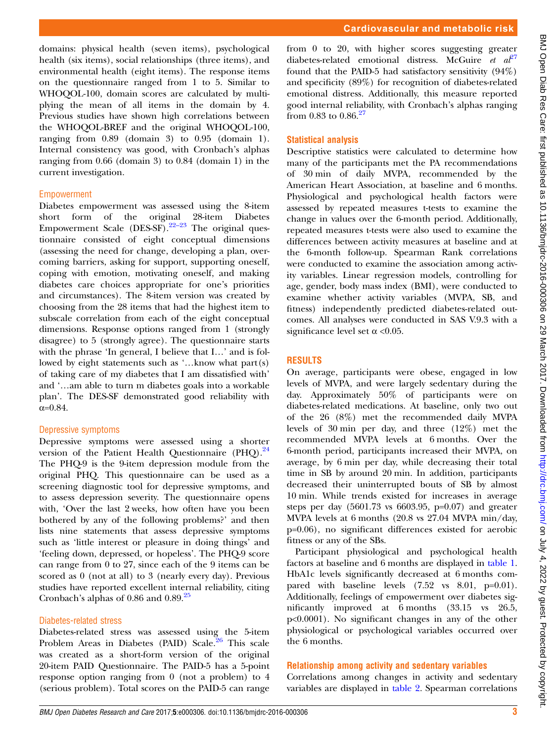domains: physical health (seven items), psychological health (six items), social relationships (three items), and environmental health (eight items). The response items on the questionnaire ranged from 1 to 5. Similar to WHOQOL-100, domain scores are calculated by multiplying the mean of all items in the domain by 4. Previous studies have shown high correlations between the WHOQOL-BREF and the original WHOQOL-100, ranging from 0.89 (domain 3) to 0.95 (domain 1). Internal consistency was good, with Cronbach's alphas ranging from 0.66 (domain 3) to 0.84 (domain 1) in the current investigation.

#### Empowerment

Diabetes empowerment was assessed using the 8-item short form of the original 28-item Diabetes Empowerment Scale  $(DES-SF).^{22-23}$  $(DES-SF).^{22-23}$  $(DES-SF).^{22-23}$  The original questionnaire consisted of eight conceptual dimensions (assessing the need for change, developing a plan, overcoming barriers, asking for support, supporting oneself, coping with emotion, motivating oneself, and making diabetes care choices appropriate for one's priorities and circumstances). The 8-item version was created by choosing from the 28 items that had the highest item to subscale correlation from each of the eight conceptual dimensions. Response options ranged from 1 (strongly disagree) to 5 (strongly agree). The questionnaire starts with the phrase 'In general, I believe that I…' and is followed by eight statements such as '…know what part(s) of taking care of my diabetes that I am dissatisfied with' and '…am able to turn m diabetes goals into a workable plan'. The DES-SF demonstrated good reliability with  $\alpha = 0.84$ .

#### Depressive symptoms

Depressive symptoms were assessed using a shorter version of the Patient Health Questionnaire  $(PHQ)$ .<sup>[24](#page-6-0)</sup> The PHQ-9 is the 9-item depression module from the original PHQ. This questionnaire can be used as a screening diagnostic tool for depressive symptoms, and to assess depression severity. The questionnaire opens with, 'Over the last 2 weeks, how often have you been bothered by any of the following problems?' and then lists nine statements that assess depressive symptoms such as 'little interest or pleasure in doing things' and 'feeling down, depressed, or hopeless'. The PHQ-9 score can range from 0 to 27, since each of the 9 items can be scored as 0 (not at all) to 3 (nearly every day). Previous studies have reported excellent internal reliability, citing Cronbach's alphas of  $0.86$  and  $0.89$ <sup>[25](#page-6-0)</sup>

#### Diabetes-related stress

Diabetes-related stress was assessed using the 5-item Problem Areas in Diabetes (PAID) Scale.<sup>[26](#page-6-0)</sup> This scale was created as a short-form version of the original 20-item PAID Questionnaire. The PAID-5 has a 5-point response option ranging from 0 (not a problem) to 4 (serious problem). Total scores on the PAID-5 can range

from 0 to 20, with higher scores suggesting greater diabetes-related emotional distress. McGuire et  $a^{\beta 7}$ found that the PAID-5 had satisfactory sensitivity (94%) and specificity (89%) for recognition of diabetes-related emotional distress. Additionally, this measure reported good internal reliability, with Cronbach's alphas ranging from 0.83 to 0.86. $^{27}$  $^{27}$  $^{27}$ 

# Statistical analysis

Descriptive statistics were calculated to determine how many of the participants met the PA recommendations of 30 min of daily MVPA, recommended by the American Heart Association, at baseline and 6 months. Physiological and psychological health factors were assessed by repeated measures t-tests to examine the change in values over the 6-month period. Additionally, repeated measures t-tests were also used to examine the differences between activity measures at baseline and at the 6-month follow-up. Spearman Rank correlations were conducted to examine the association among activity variables. Linear regression models, controlling for age, gender, body mass index (BMI), were conducted to examine whether activity variables (MVPA, SB, and fitness) independently predicted diabetes-related outcomes. All analyses were conducted in SAS V.9.3 with a significance level set  $\alpha$  <0.05.

# RESULTS

On average, participants were obese, engaged in low levels of MVPA, and were largely sedentary during the day. Approximately 50% of participants were on diabetes-related medications. At baseline, only two out of the 26 (8%) met the recommended daily MVPA levels of 30 min per day, and three (12%) met the recommended MVPA levels at 6 months. Over the 6-month period, participants increased their MVPA, on average, by 6 min per day, while decreasing their total time in SB by around 20 min. In addition, participants decreased their uninterrupted bouts of SB by almost 10 min. While trends existed for increases in average steps per day  $(5601.73 \text{ vs } 6603.95, \text{ p=0.07})$  and greater MVPA levels at 6 months (20.8 vs 27.04 MVPA min/day, p=0.06), no significant differences existed for aerobic fitness or any of the SBs.

Participant physiological and psychological health factors at baseline and 6 months are displayed in [table 1.](#page-3-0) HbA1c levels significantly decreased at 6 months compared with baseline levels  $(7.52 \text{ vs } 8.01, \text{ p}=0.01)$ . Additionally, feelings of empowerment over diabetes significantly improved at 6 months (33.15 vs 26.5, p<0.0001). No significant changes in any of the other physiological or psychological variables occurred over the 6 months.

#### Relationship among activity and sedentary variables

Correlations among changes in activity and sedentary variables are displayed in [table 2](#page-3-0). Spearman correlations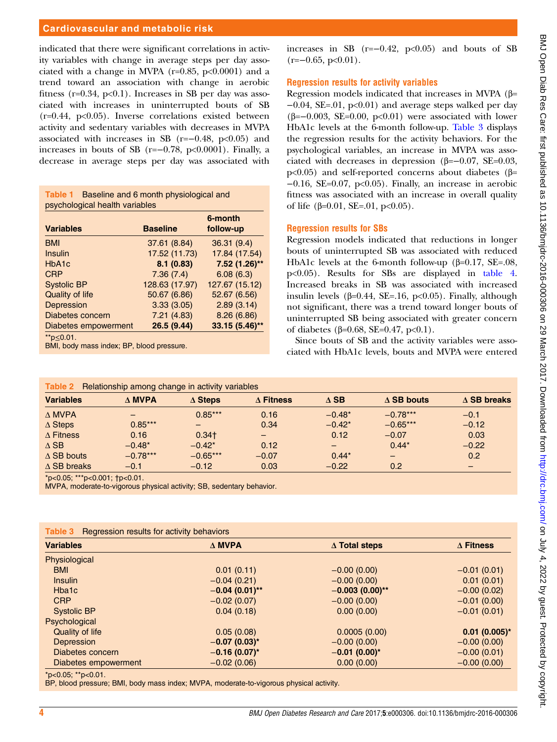#### <span id="page-3-0"></span>Cardiovascular and metabolic risk

indicated that there were significant correlations in activity variables with change in average steps per day associated with a change in MVPA ( $r=0.85$ ,  $p<0.0001$ ) and a trend toward an association with change in aerobic fitness ( $r=0.34$ ,  $p<0.1$ ). Increases in SB per day was associated with increases in uninterrupted bouts of SB  $(r=0.44, p<0.05)$ . Inverse correlations existed between activity and sedentary variables with decreases in MVPA associated with increases in SB  $(r=-0.48, p<0.05)$  and increases in bouts of SB (r=−0.78, p<0.0001). Finally, a decrease in average steps per day was associated with

| Table 1 | Baseline and 6 month physiological and |
|---------|----------------------------------------|
|         | psychological health variables         |

| <b>Variables</b>     | <b>Baseline</b> | 6-month<br>follow-up |
|----------------------|-----------------|----------------------|
| <b>BMI</b>           | 37.61 (8.84)    | 36.31 (9.4)          |
| Insulin              | 17.52 (11.73)   | 17.84 (17.54)        |
| HbA <sub>1</sub> c   | 8.1(0.83)       | 7.52 (1.26)**        |
| <b>CRP</b>           | 7.36(7.4)       | 6.08(6.3)            |
| <b>Systolic BP</b>   | 128.63 (17.97)  | 127.67 (15.12)       |
| Quality of life      | 50.67 (6.86)    | 52.67 (6.56)         |
| Depression           | 3.33(3.05)      | 2.89(3.14)           |
| Diabetes concern     | 7.21(4.83)      | 8.26(6.86)           |
| Diabetes empowerment | 26.5 (9.44)     | 33.15 (5.46)**       |
| ** $p \le 0.01$ .    |                 |                      |

BMI, body mass index; BP, blood pressure.

increases in SB  $(r=-0.42, p<0.05)$  and bouts of SB  $(r=-0.65, p<0.01)$ .

#### Regression results for activity variables

Regression models indicated that increases in MVPA (β= −0.04, SE=.01, p<0.01) and average steps walked per day ( $\beta = -0.003$ , SE=0.00, p<0.01) were associated with lower HbA1c levels at the 6-month follow-up. Table 3 displays the regression results for the activity behaviors. For the psychological variables, an increase in MVPA was associated with decreases in depression (β= $-0.07$ , SE= $0.03$ , p<0.05) and self-reported concerns about diabetes (β= −0.16, SE=0.07, p<0.05). Finally, an increase in aerobic fitness was associated with an increase in overall quality of life (β=0.01, SE=.01, p<0.05).

#### Regression results for SBs

Regression models indicated that reductions in longer bouts of uninterrupted SB was associated with reduced HbA1c levels at the 6-month follow-up (β=0.17, SE=.08, p<0.05). Results for SBs are displayed in [table 4.](#page-4-0) Increased breaks in SB was associated with increased insulin levels ( $\beta$ =0.44, SE=.16, p<0.05). Finally, although not significant, there was a trend toward longer bouts of uninterrupted SB being associated with greater concern of diabetes (β=0.68, SE=0.47, p<0.1).

Since bouts of SB and the activity variables were associated with HbA1c levels, bouts and MVPA were entered

| Table 2<br>Relationship among change in activity variables |                  |                |                  |                          |                              |                    |
|------------------------------------------------------------|------------------|----------------|------------------|--------------------------|------------------------------|--------------------|
| <b>Variables</b>                                           | $\triangle$ MVPA | $\Delta$ Steps | $\Delta$ Fitness | $\triangle$ SB           | $\triangle$ SB bouts         | $\Delta$ SB breaks |
| $\triangle MVPA$                                           |                  | $0.85***$      | 0.16             | $-0.48*$                 | $-0.78***$                   | $-0.1$             |
| $\Delta$ Steps                                             | $0.85***$        |                | 0.34             | $-0.42*$                 | $-0.65***$                   | $-0.12$            |
| $\Delta$ Fitness                                           | 0.16             | $0.34+$        | -                | 0.12                     | $-0.07$                      | 0.03               |
| $\triangle$ SB                                             | $-0.48*$         | $-0.42*$       | 0.12             | $\overline{\phantom{0}}$ | $0.44*$                      | $-0.22$            |
| $\triangle$ SB bouts                                       | $-0.78***$       | $-0.65***$     | $-0.07$          | $0.44*$                  | $\qquad \qquad \blacksquare$ | 0.2                |
| $\triangle$ SB breaks                                      | $-0.1$           | $-0.12$        | 0.03             | $-0.22$                  | 0.2                          |                    |

\*p<0.05; \*\*\*p<0.001; †p<0.01.

MVPA, moderate-to-vigorous physical activity; SB, sedentary behavior.

| Regression results for activity behaviors<br>Table 3 |                  |                      |                  |  |
|------------------------------------------------------|------------------|----------------------|------------------|--|
| <b>Variables</b>                                     | $\Delta$ MVPA    | $\Delta$ Total steps | $\Delta$ Fitness |  |
| Physiological                                        |                  |                      |                  |  |
| <b>BMI</b>                                           | 0.01(0.11)       | $-0.00(0.00)$        | $-0.01(0.01)$    |  |
| <b>Insulin</b>                                       | $-0.04(0.21)$    | $-0.00(0.00)$        | 0.01(0.01)       |  |
| Hba1c                                                | $-0.04(0.01)$ ** | $-0.003(0.00)$ **    | $-0.00(0.02)$    |  |
| <b>CRP</b>                                           | $-0.02(0.07)$    | $-0.00(0.00)$        | $-0.01(0.00)$    |  |
| <b>Systolic BP</b>                                   | 0.04(0.18)       | 0.00(0.00)           | $-0.01(0.01)$    |  |
| Psychological                                        |                  |                      |                  |  |
| <b>Quality of life</b>                               | 0.05(0.08)       | 0.0005(0.00)         | $0.01(0.005)^*$  |  |
| Depression                                           | $-0.07(0.03)$ *  | $-0.00(0.00)$        | $-0.00(0.00)$    |  |
| Diabetes concern                                     | $-0.16(0.07)$ *  | $-0.01(0.00)*$       | $-0.00(0.01)$    |  |
| Diabetes empowerment                                 | $-0.02(0.06)$    | 0.00(0.00)           | $-0.00(0.00)$    |  |
|                                                      |                  |                      |                  |  |

\*p<0.05; \*\*p<0.01.

BP, blood pressure; BMI, body mass index; MVPA, moderate-to-vigorous physical activity.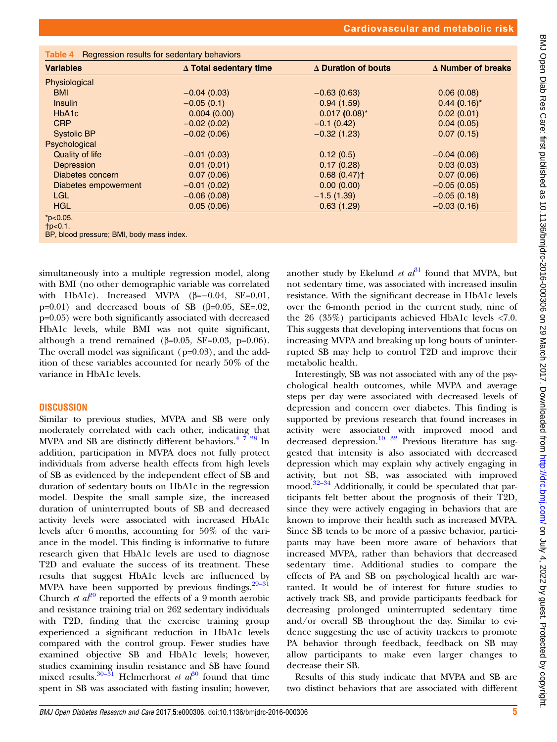<span id="page-4-0"></span>

| <b>Variables</b>     | ∆ Total sedentary time | ∆ Duration of bouts | $\Delta$ Number of breaks |
|----------------------|------------------------|---------------------|---------------------------|
|                      |                        |                     |                           |
| Physiological        |                        |                     |                           |
| <b>BMI</b>           | $-0.04(0.03)$          | $-0.63(0.63)$       | 0.06(0.08)                |
| <b>Insulin</b>       | $-0.05(0.1)$           | 0.94(1.59)          | $0.44(0.16)$ *            |
| HbA <sub>1</sub> c   | 0.004(0.00)            | $0.017(0.08)^*$     | 0.02(0.01)                |
| <b>CRP</b>           | $-0.02(0.02)$          | $-0.1(0.42)$        | 0.04(0.05)                |
| <b>Systolic BP</b>   | $-0.02(0.06)$          | $-0.32(1.23)$       | 0.07(0.15)                |
| Psychological        |                        |                     |                           |
| Quality of life      | $-0.01(0.03)$          | 0.12(0.5)           | $-0.04(0.06)$             |
| Depression           | 0.01(0.01)             | 0.17(0.28)          | 0.03(0.03)                |
| Diabetes concern     | 0.07(0.06)             | 0.68(0.47)          | 0.07(0.06)                |
| Diabetes empowerment | $-0.01(0.02)$          | 0.00(0.00)          | $-0.05(0.05)$             |
| <b>LGL</b>           | $-0.06(0.08)$          | $-1.5(1.39)$        | $-0.05(0.18)$             |
| <b>HGL</b>           | 0.05(0.06)             | 0.63(1.29)          | $-0.03(0.16)$             |

†p<0.1.

BP, blood pressure; BMI, body mass index.

simultaneously into a multiple regression model, along with BMI (no other demographic variable was correlated with HbA1c). Increased MVPA  $(\beta=-0.04, \text{ SE}=0.01,$ p=0.01) and decreased bouts of SB  $(β=0.05, SE=.02,$ p=0.05) were both significantly associated with decreased HbA1c levels, while BMI was not quite significant, although a trend remained (β=0.05, SE=0.03, p=0.06). The overall model was significant (p=0.03), and the addition of these variables accounted for nearly 50% of the variance in HbA1c levels.

#### **DISCUSSION**

Similar to previous studies, MVPA and SB were only moderately correlated with each other, indicating that MVPA and SB are distinctly different behaviors.<sup>4</sup>  $\frac{728}{128}$  In addition, participation in MVPA does not fully protect individuals from adverse health effects from high levels of SB as evidenced by the independent effect of SB and duration of sedentary bouts on HbA1c in the regression model. Despite the small sample size, the increased duration of uninterrupted bouts of SB and decreased activity levels were associated with increased HbA1c levels after 6 months, accounting for 50% of the variance in the model. This finding is informative to future research given that HbA1c levels are used to diagnose T2D and evaluate the success of its treatment. These results that suggest HbA1c levels are influenced by MVPA have been supported by previous findings. $29-31$  $29-31$ Church *et al*<sup>[29](#page-6-0)</sup> reported the effects of a 9 month aerobic and resistance training trial on 262 sedentary individuals with T2D, finding that the exercise training group experienced a significant reduction in HbA1c levels compared with the control group. Fewer studies have examined objective SB and HbA1c levels; however, studies examining insulin resistance and SB have found mixed results.<sup>[30](#page-6-0)–31</sup> Helmerhorst *et al*<sup>30</sup> found that time spent in SB was associated with fasting insulin; however,

another study by Ekelund *et al*<sup>[31](#page-6-0)</sup> found that MVPA, but not sedentary time, was associated with increased insulin resistance. With the significant decrease in HbA1c levels over the 6-month period in the current study, nine of the 26 (35%) participants achieved HbA1c levels <7.0. This suggests that developing interventions that focus on increasing MVPA and breaking up long bouts of uninterrupted SB may help to control T2D and improve their metabolic health.

Interestingly, SB was not associated with any of the psychological health outcomes, while MVPA and average steps per day were associated with decreased levels of depression and concern over diabetes. This finding is supported by previous research that found increases in activity were associated with improved mood and decreased depression.<sup>[10](#page-5-0)</sup>  $32$  Previous literature has suggested that intensity is also associated with decreased depression which may explain why actively engaging in activity, but not SB, was associated with improved mood.<sup>32–[34](#page-6-0)</sup> Additionally, it could be speculated that participants felt better about the prognosis of their T2D, since they were actively engaging in behaviors that are known to improve their health such as increased MVPA. Since SB tends to be more of a passive behavior, participants may have been more aware of behaviors that increased MVPA, rather than behaviors that decreased sedentary time. Additional studies to compare the effects of PA and SB on psychological health are warranted. It would be of interest for future studies to actively track SB, and provide participants feedback for decreasing prolonged uninterrupted sedentary time and/or overall SB throughout the day. Similar to evidence suggesting the use of activity trackers to promote PA behavior through feedback, feedback on SB may allow participants to make even larger changes to decrease their SB.

Results of this study indicate that MVPA and SB are two distinct behaviors that are associated with different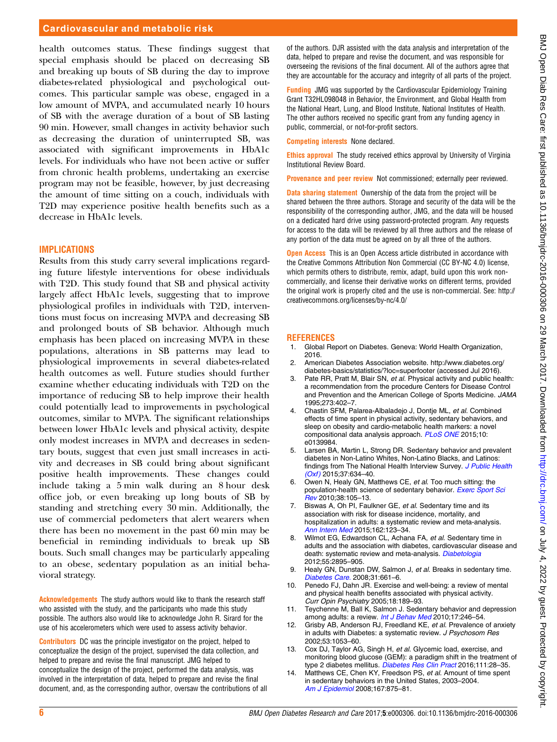#### <span id="page-5-0"></span>Cardiovascular and metabolic risk

health outcomes status. These findings suggest that special emphasis should be placed on decreasing SB and breaking up bouts of SB during the day to improve diabetes-related physiological and psychological outcomes. This particular sample was obese, engaged in a low amount of MVPA, and accumulated nearly 10 hours of SB with the average duration of a bout of SB lasting 90 min. However, small changes in activity behavior such as decreasing the duration of uninterrupted SB, was associated with significant improvements in HbA1c levels. For individuals who have not been active or suffer from chronic health problems, undertaking an exercise program may not be feasible, however, by just decreasing the amount of time sitting on a couch, individuals with T2D may experience positive health benefits such as a decrease in HbA1c levels.

#### IMPLICATIONS

Results from this study carry several implications regarding future lifestyle interventions for obese individuals with T2D. This study found that SB and physical activity largely affect HbA1c levels, suggesting that to improve physiological profiles in individuals with T2D, interventions must focus on increasing MVPA and decreasing SB and prolonged bouts of SB behavior. Although much emphasis has been placed on increasing MVPA in these populations, alterations in SB patterns may lead to physiological improvements in several diabetes-related health outcomes as well. Future studies should further examine whether educating individuals with T2D on the importance of reducing SB to help improve their health could potentially lead to improvements in psychological outcomes, similar to MVPA. The significant relationships between lower HbA1c levels and physical activity, despite only modest increases in MVPA and decreases in sedentary bouts, suggest that even just small increases in activity and decreases in SB could bring about significant positive health improvements. These changes could include taking a 5 min walk during an 8 hour desk office job, or even breaking up long bouts of SB by standing and stretching every 30 min. Additionally, the use of commercial pedometers that alert wearers when there has been no movement in the past 60 min may be beneficial in reminding individuals to break up SB bouts. Such small changes may be particularly appealing to an obese, sedentary population as an initial behavioral strategy.

Acknowledgements The study authors would like to thank the research staff who assisted with the study, and the participants who made this study possible. The authors also would like to acknowledge John R. Sirard for the use of his accelerometers which were used to assess activity behavior.

Contributors DC was the principle investigator on the project, helped to conceptualize the design of the project, supervised the data collection, and helped to prepare and revise the final manuscript. JMG helped to conceptualize the design of the project, performed the data analysis, was involved in the interpretation of data, helped to prepare and revise the final document, and, as the corresponding author, oversaw the contributions of all of the authors. DJR assisted with the data analysis and interpretation of the data, helped to prepare and revise the document, and was responsible for overseeing the revisions of the final document. All of the authors agree that they are accountable for the accuracy and integrity of all parts of the project.

Funding JMG was supported by the Cardiovascular Epidemiology Training Grant T32HL098048 in Behavior, the Environment, and Global Health from the National Heart, Lung, and Blood Institute, National Institutes of Health. The other authors received no specific grant from any funding agency in public, commercial, or not-for-profit sectors.

Competing interests None declared.

Ethics approval The study received ethics approval by University of Virginia Institutional Review Board.

Provenance and peer review Not commissioned; externally peer reviewed.

Data sharing statement Ownership of the data from the project will be shared between the three authors. Storage and security of the data will be the responsibility of the corresponding author, JMG, and the data will be housed on a dedicated hard drive using password-protected program. Any requests for access to the data will be reviewed by all three authors and the release of any portion of the data must be agreed on by all three of the authors.

**Open Access** This is an Open Access article distributed in accordance with the Creative Commons Attribution Non Commercial (CC BY-NC 4.0) license, which permits others to distribute, remix, adapt, build upon this work noncommercially, and license their derivative works on different terms, provided the original work is properly cited and the use is non-commercial. See: [http://](http://creativecommons.org/licenses/by-nc/4.0/) [creativecommons.org/licenses/by-nc/4.0/](http://creativecommons.org/licenses/by-nc/4.0/)

#### REFERENCES

- 1. Global Report on Diabetes. Geneva: World Health Organization, 2016.
- 2. American Diabetes Association website. [http://www.diabetes.org/](http://www.diabetes.org/diabetes-basics/statistics/?loc=superfooter) [diabetes-basics/statistics/?loc=superfooter](http://www.diabetes.org/diabetes-basics/statistics/?loc=superfooter) (accessed Jul 2016).
- 3. Pate RR, Pratt M, Blair SN, et al. Physical activity and public health: a recommendation from the procedure Centers for Disease Control and Prevention and the American College of Sports Medicine. JAMA 1995;273:402–7.
- 4. Chastin SFM, Palarea-Albaladejo J, Dontje ML, et al. Combined effects of time spent in physical activity, sedentary behaviors, and sleep on obesity and cardio-metabolic health markers: a novel compositional data analysis approach. [PLoS ONE](http://dx.doi.org/10.1371/journal.pone.0139984) 2015;10: e0139984.
- 5. Larsen BA, Martin L, Strong DR. Sedentary behavior and prevalent diabetes in Non-Latino Whites, Non-Latino Blacks, and Latinos: findings from The National Health Interview Survey. [J Public Health](http://dx.doi.org/10.1093/pubmed/fdu103)  $(Oxf)$  2015;37:634-40.
- 6. Owen N, Healy GN, Matthews CE, et al. Too much sitting: the population-health science of sedentary behavior. [Exerc Sport Sci](http://dx.doi.org/10.1097/JES.0b013e3181e373a2) [Rev](http://dx.doi.org/10.1097/JES.0b013e3181e373a2) 2010;38:105–13.
- 7. Biswas A, Oh PI, Faulkner GE, et al. Sedentary time and its association with risk for disease incidence, mortality, and hospitalization in adults: a systematic review and meta-analysis. [Ann Intern Med](http://dx.doi.org/10.7326/M14-1651) 2015;162:123-34.
- Wilmot EG, Edwardson CL, Achana FA, et al. Sedentary time in adults and the association with diabetes, cardiovascular disease and death: systematic review and meta-analysis. [Diabetologia](http://dx.doi.org/10.1007/s00125-012-2677-z) 2012;55:2895–905.
- 9. Healy GN, Dunstan DW, Salmon J, et al. Breaks in sedentary time. [Diabetes Care.](http://dx.doi.org/10.2337/dc07-2046) 2008;31:661–6.
- 10. Penedo FJ, Dahn JR. Exercise and well-being: a review of mental and physical health benefits associated with physical activity. Curr Opin Psychiatry 2005;18:189–93.
- 11. Teychenne M, Ball K, Salmon J. Sedentary behavior and depression among adults: a review. [Int J Behav Med](http://dx.doi.org/10.1007/s12529-010-9075-z) 2010;17:246-54.
- 12. Grisby AB, Anderson RJ, Freedland KE, et al. Prevalence of anxiety in adults with Diabetes: a systematic review. J Psychosom Res 2002;53:1053–60.
- 13. Cox DJ, Taylor AG, Singh H, et al. Glycemic load, exercise, and monitoring blood glucose (GEM): a paradigm shift in the treatment of type 2 diabetes mellitus. [Diabetes Res Clin Pract](http://dx.doi.org/10.1016/j.diabres.2015.10.021) 2016;111:28–35.
- 14. Matthews CE, Chen KY, Freedson PS, et al. Amount of time spent in sedentary behaviors in the United States, 2003–2004. [Am J Epidemiol](http://dx.doi.org/10.1093/aje/kwm390) 2008;167:875–81.